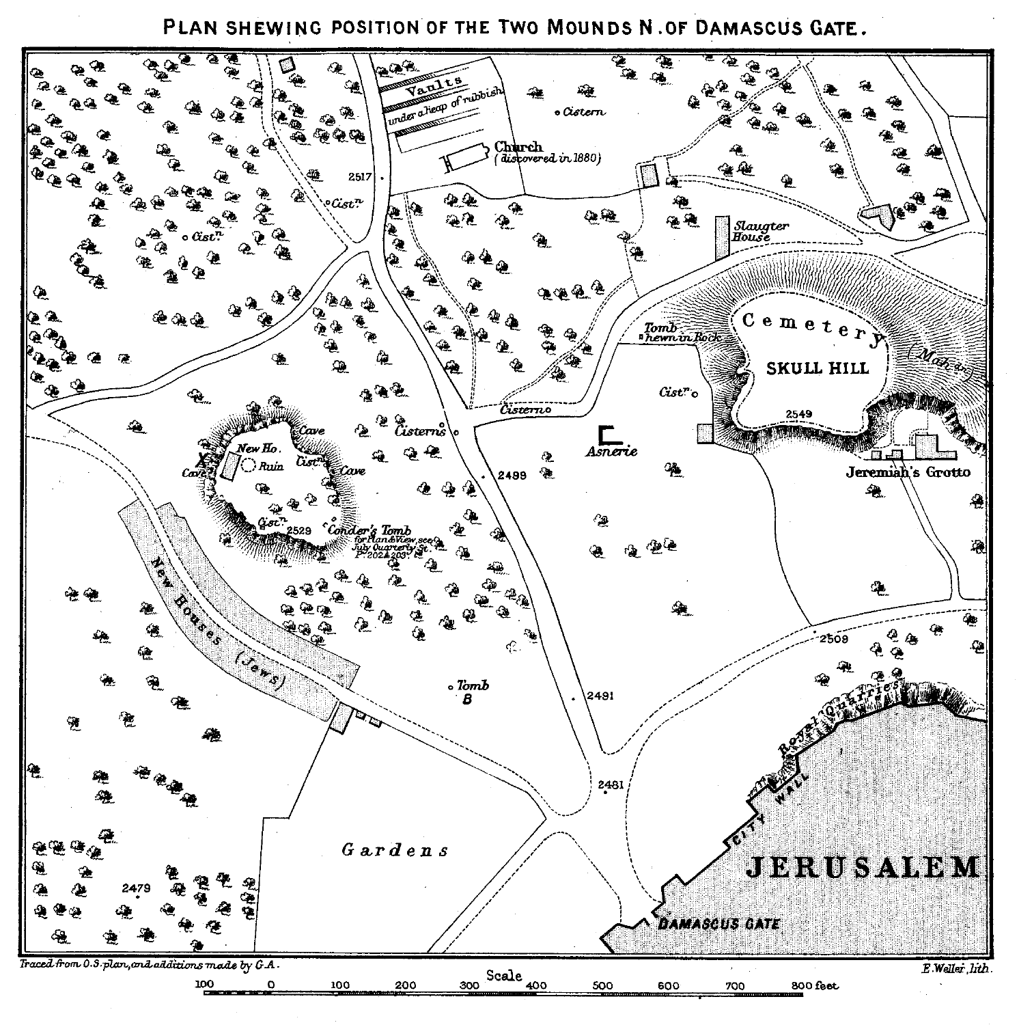PLAN SHEWING POSITION OF THE TWO MOUNDS N. OF DAMASCUS GATE.

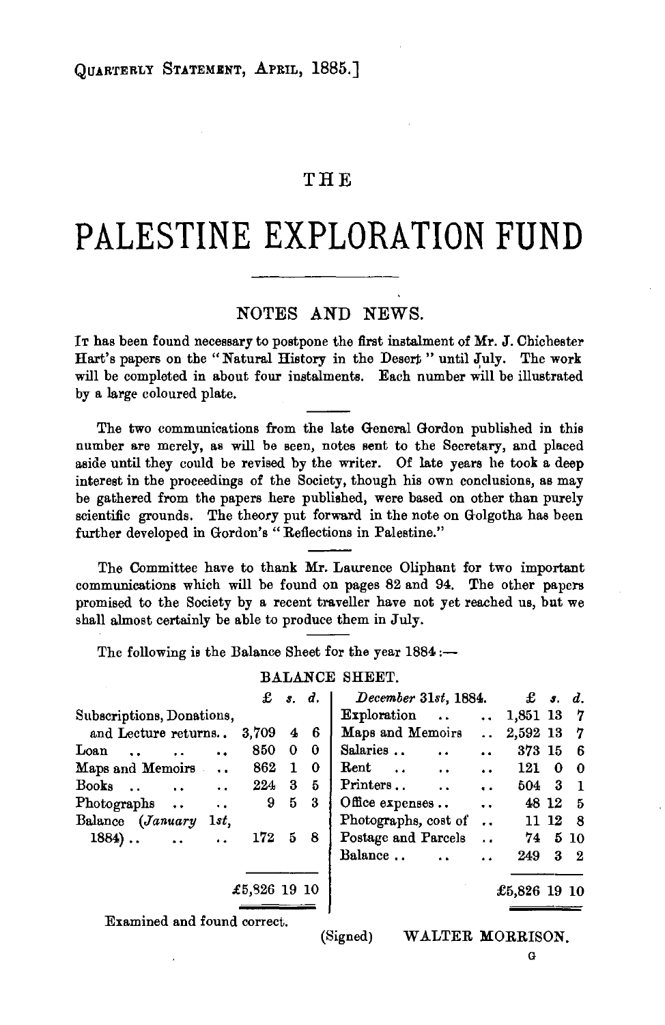## THE

# **PALESTINE EXPLORATION FUND**

### NOTES AND NEWS.

IT has been found necessary to postpone the first instalment of Mr. J. Chichester Hart's papers on the " Natural History in the Desert " until July. The work will be completed in about four instalments. Each number will be illustrated by a large coloured plate.

The two communications from the late General Gordon published in this number are merely, as will be seen, notes sent to the Secretary, and placed aside until they could be revised by the writer. Of late years he took a deep interest in the proceedings of the Society, though his own conclusions, as may be gathered from the papers here published, were based on other than purely scientific grounds. The theory put forward in the note on Golgotha has been further developed in Gordon's "Reflections in Palestine."

The Committee have to thank Mr. Laurence Oliphant for two important communications which will be found on pages 82 and 94. The other papers promised to the Society by a recent traveller have not yet reached us, but we shall almost certainly be able to produce them in July.

The following is the Balance Sheet for the year 1884 :-

#### BALANCE SHEET.

|                               |                      |              | $\pounds$ s.d. |   | December 31st, 1884.              |                      | $\pounds$ s. d.   |   |            |
|-------------------------------|----------------------|--------------|----------------|---|-----------------------------------|----------------------|-------------------|---|------------|
| Subscriptions, Donations,     |                      |              |                |   | Exploration                       |                      | $\ldots$ 1,851 13 |   | - 7        |
| and Lecture returns           |                      | 3,709        | 4              | 6 | Maps and Memoirs                  | $\ddotsc$            | 2,592 13          |   | - 7        |
| Loan<br>$\cdots$              | $\ddot{\phantom{a}}$ | 850          | 0              | 0 | Salaries                          |                      | 373 15            |   | -6         |
| Maps and Memoirs              |                      | 862          | $\mathbf{1}$   | 0 | $\mathbf{Rent}$                   |                      | 121               | 0 | -0         |
| Books<br>$\ddot{\phantom{a}}$ | $\ddot{\phantom{a}}$ | 224          | 3              | 5 | Printers                          | $\ddot{\phantom{a}}$ | 504 3             |   | - 1        |
| Photographs                   | $\ddot{\phantom{a}}$ | 9            | 5              | 3 | Office expenses $\ldots$ $\ldots$ |                      | 48 12             |   | - 5        |
| Balance (January              | $1st$ ,              |              |                |   | Photographs, cost of  11 12       |                      |                   |   | - 8        |
| $1884)$                       | $\ddot{\phantom{a}}$ | 172          | 5              | 8 | Postage and Parcels               | $\ddot{\phantom{0}}$ | 74                |   | 5 10       |
|                               |                      |              |                |   | Balance<br>$\sim$                 |                      | 249               |   | $3\quad 2$ |
|                               |                      |              |                |   |                                   |                      |                   |   |            |
|                               |                      | £5,826 19 10 |                |   |                                   |                      | £5,826 19 10      |   |            |
|                               |                      |              |                |   |                                   |                      |                   |   |            |

Examined and found correct.

#### (Signed) W ALTER MORRISON.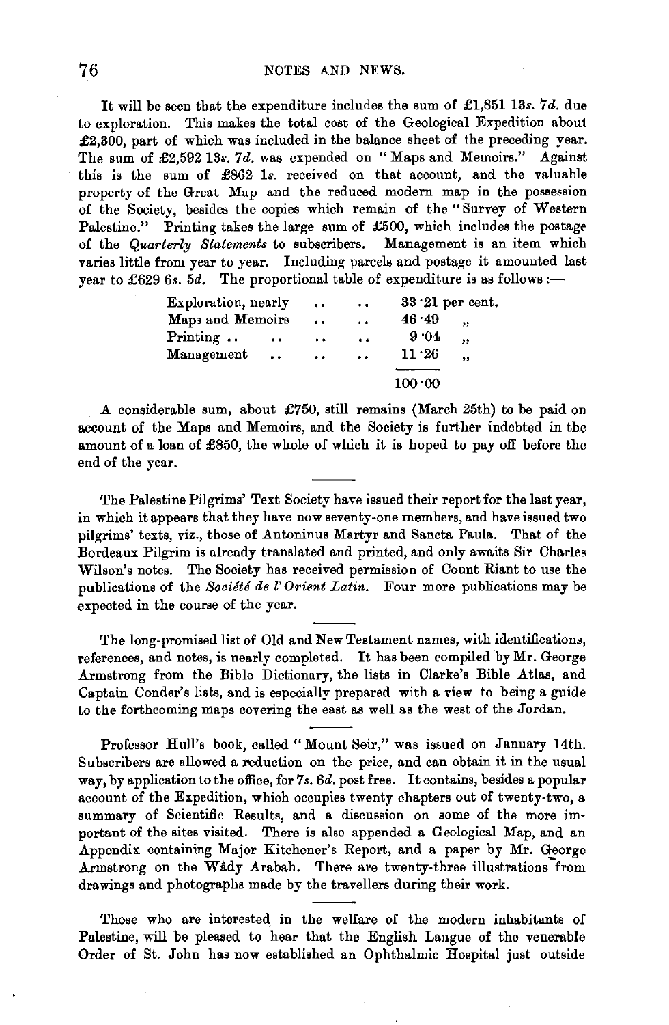It will be seen that the expenditure includes the sum of  $£1,851$  13s. 7d. due to exploration. This makes the total cost of the Geological Expedition about £2,300, part of which was included in the balance sheet of the preceding year. The sum of £2,592 13s. 7d. was expended on "Maps and Memoirs." Against this is the sum of £862 ls. received on that account, and the valuable property of the Great Map and the reduced modern map in the possession of the Society, besides the copies which remain of the "Survey of Western Palestine." Printing takes the large sum of £500, which includes the postage of the *Quarterly Statements* to subscribers. Management is an item which varies little from year to year. Including parcels and postage it amounted last year to £629 6s. 5d. The proportional table of expenditure is as follows:-

| Exploration, nearly |                      | $\ddot{\phantom{0}}$ | $\ddot{\phantom{a}}$ | $33.21$ per cent. |           |
|---------------------|----------------------|----------------------|----------------------|-------------------|-----------|
| Maps and Memoirs    |                      | $\ddot{\phantom{0}}$ | $\ddot{\phantom{a}}$ | 46.49             | ,,        |
| Printing            | $\ddot{\phantom{a}}$ | $\ddot{\phantom{0}}$ | $\ddot{\phantom{a}}$ | 9.04              | $\cdot$   |
| Management          | $\cdot$ $\cdot$      | $\ddot{\phantom{1}}$ | $\ddot{\phantom{a}}$ | 11.26             | $\bullet$ |
|                     |                      |                      |                      | 100.00            |           |

A considerable sum, about £750, still remains (March 25th) to be paid on account of the Maps and Memoirs, and the Society is further indebted in the amount of a loan of £850, the whole of which it is hoped to pay off before the end of the year.

The Palestine Pilgrims' Text Society have issued their report for the last year, in which it appears that they have now seventy-one members, and have issued two pilgrims' texts, viz., those of Antoninus Martyr and Sancta Paula. That of the Bordeaux Pilgrim is already translated and printed, and only awaits Sir Charles Wilson's notes. The Society has received permission of Count Riant to use the publications of the *Societe de l' Orient Latin.* Four more publications may be expected in the course of the year.

The long-promised list of Old and New Testament names, with identifications, references, and notes, is nearly completed. It has been compiled by Mr. George Armstrong from the Bible Dictionary, the lists in Clarke's Bible Atlas, and Captain Conder's lists, and is especially prepared with a view to being a guide to the forthcoming maps covering the east as well as the west of the Jordan.

Professor Hull's book, called "Mount Seir," was issued on January 14th. Subscribers are allowed a reduction on the price, and can obtain it in the usual way, by application to the office, for *7s.* 6d. post free. It contains, besides a popular account of the Expedition, which occupies twenty chapters out of twenty-two, a summary of Scientific Results, and a discussion on some of the more important of the sites visited. There is also appended a Geological Map, and an Appendix containing Major Kitchener's Report, and a paper by Mr. George Armstrong on the Wâdy Arabah. There are twenty-three illustrations from drawings and photographs made by the travellers during their work.

Those who are interested in the welfare of the modern inhabitants of Palestine, will be pleased to hear that the English Laugue of the venerable Order of St. John has now established an Ophthalmic Hospital just outside